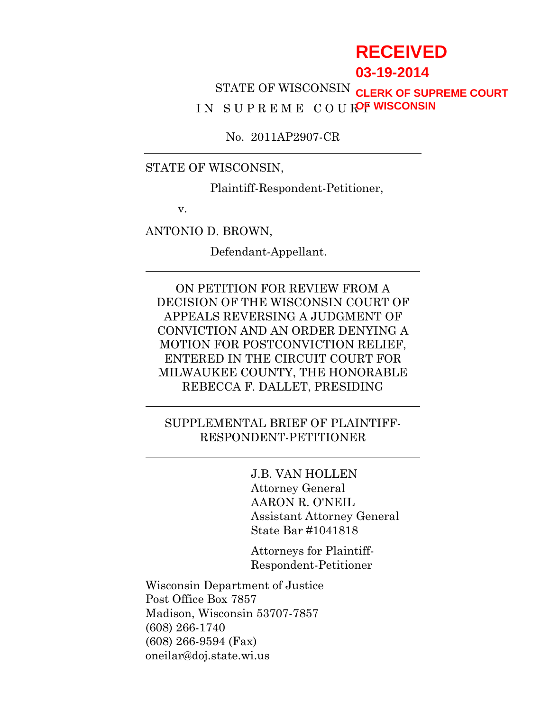# **RECEIVED**

**03-19-2014**

STATE OF WISCONSIN **CLERK OF SUPREME COURT** IN SUPREME COUR<sup>OF WISCONSIN</sup>

No. 2011AP2907-CR

STATE OF WISCONSIN,

Plaintiff-Respondent-Petitioner,

v.

ANTONIO D. BROWN,

Defendant-Appellant.

ON PETITION FOR REVIEW FROM A DECISION OF THE WISCONSIN COURT OF APPEALS REVERSING A JUDGMENT OF CONVICTION AND AN ORDER DENYING A MOTION FOR POSTCONVICTION RELIEF, ENTERED IN THE CIRCUIT COURT FOR MILWAUKEE COUNTY, THE HONORABLE REBECCA F. DALLET, PRESIDING

### SUPPLEMENTAL BRIEF OF PLAINTIFF-RESPONDENT-PETITIONER

J.B. VAN HOLLEN Attorney General AARON R. O'NEIL Assistant Attorney General State Bar #1041818

Attorneys for Plaintiff-Respondent-Petitioner

Wisconsin Department of Justice Post Office Box 7857 Madison, Wisconsin 53707-7857 (608) 266-1740 (608) 266-9594 (Fax) oneilar@doj.state.wi.us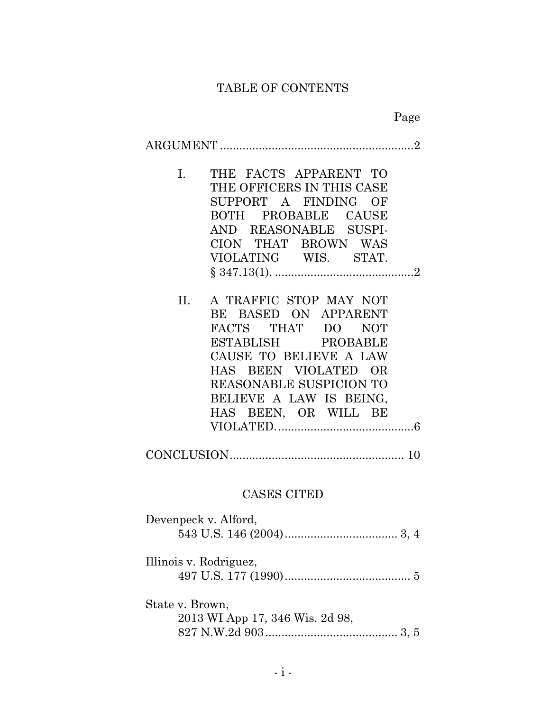# TABLE OF CONTENTS

|                                                                                                                                                                                                                                                     | Page |  |  |  |  |
|-----------------------------------------------------------------------------------------------------------------------------------------------------------------------------------------------------------------------------------------------------|------|--|--|--|--|
|                                                                                                                                                                                                                                                     |      |  |  |  |  |
| THE FACTS APPARENT TO<br>$I_{\cdot}$<br>THE OFFICERS IN THIS CASE<br>SUPPORT A FINDING OF<br>BOTH PROBABLE CAUSE<br>AND REASONABLE SUSPI-<br>CION THAT BROWN WAS<br>VIOLATING WIS. STAT.                                                            |      |  |  |  |  |
| A TRAFFIC STOP MAY NOT<br>II. —<br>BE BASED ON APPARENT<br>FACTS THAT DO<br><b>NOT</b><br>ESTABLISH PROBABLE<br>CAUSE TO BELIEVE A LAW<br>HAS BEEN VIOLATED OR<br><b>REASONABLE SUSPICION TO</b><br>BELIEVE A LAW IS BEING,<br>HAS BEEN, OR WILL BE |      |  |  |  |  |
|                                                                                                                                                                                                                                                     |      |  |  |  |  |
| <b>CASES CITED</b>                                                                                                                                                                                                                                  |      |  |  |  |  |
| Devenpeck v. Alford,                                                                                                                                                                                                                                |      |  |  |  |  |
| Illinois v. Rodriguez,                                                                                                                                                                                                                              |      |  |  |  |  |
| State v. Brown,<br>2013 WI App 17, 346 Wis. 2d 98,                                                                                                                                                                                                  |      |  |  |  |  |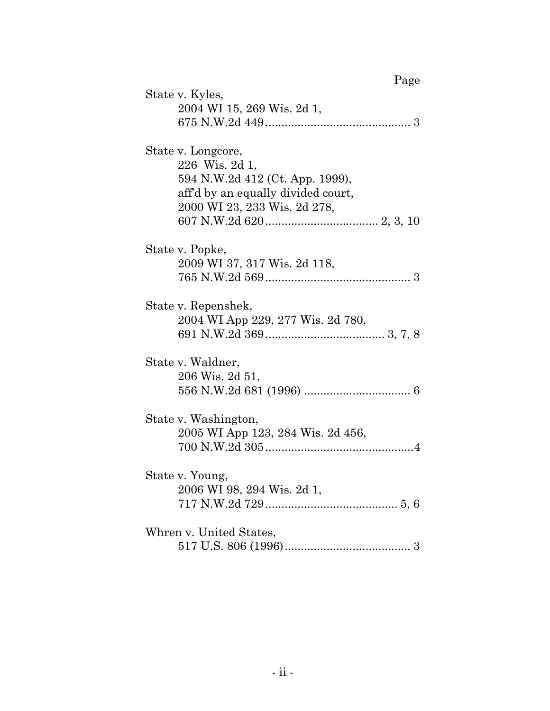| Page                                                                                                                                          |  |
|-----------------------------------------------------------------------------------------------------------------------------------------------|--|
| State v. Kyles,<br>2004 WI 15, 269 Wis. 2d 1,                                                                                                 |  |
| State v. Longcore,<br>226 Wis. 2d 1,<br>594 N.W.2d 412 (Ct. App. 1999),<br>aff'd by an equally divided court,<br>2000 WI 23, 233 Wis. 2d 278, |  |
| State v. Popke,<br>2009 WI 37, 317 Wis. 2d 118,                                                                                               |  |
| State v. Repenshek,<br>2004 WI App 229, 277 Wis. 2d 780,                                                                                      |  |
| State v. Waldner,<br>206 Wis. 2d 51,                                                                                                          |  |
| State v. Washington,<br>2005 WI App 123, 284 Wis. 2d 456,                                                                                     |  |
| State v. Young,<br>2006 WI 98, 294 Wis. 2d 1,                                                                                                 |  |
| Whren v. United States,                                                                                                                       |  |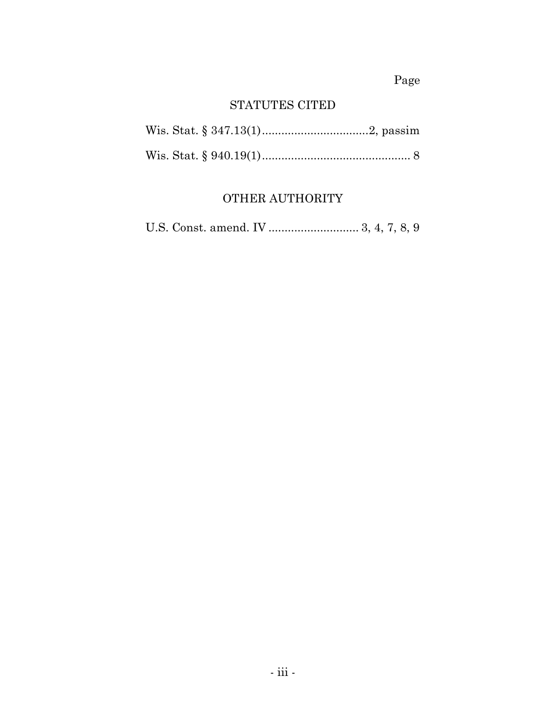Page

# STATUTES CITED

# OTHER AUTHORITY

U.S. Const. amend. IV ............................ 3, 4, 7, 8, 9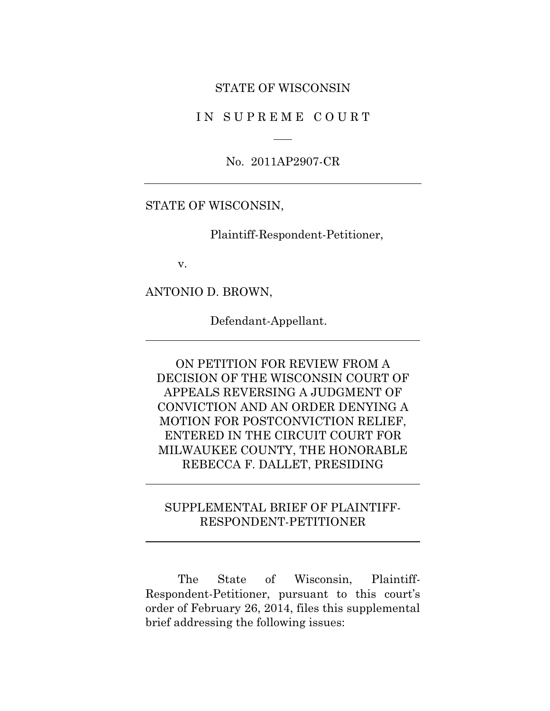#### STATE OF WISCONSIN

IN SUPREME COURT

No. 2011AP2907-CR

#### STATE OF WISCONSIN,

Plaintiff-Respondent-Petitioner,

v.

ANTONIO D. BROWN,

Defendant-Appellant.

ON PETITION FOR REVIEW FROM A DECISION OF THE WISCONSIN COURT OF APPEALS REVERSING A JUDGMENT OF CONVICTION AND AN ORDER DENYING A MOTION FOR POSTCONVICTION RELIEF, ENTERED IN THE CIRCUIT COURT FOR MILWAUKEE COUNTY, THE HONORABLE REBECCA F. DALLET, PRESIDING

## SUPPLEMENTAL BRIEF OF PLAINTIFF-RESPONDENT-PETITIONER

The State of Wisconsin, Plaintiff-Respondent-Petitioner, pursuant to this court's order of February 26, 2014, files this supplemental brief addressing the following issues: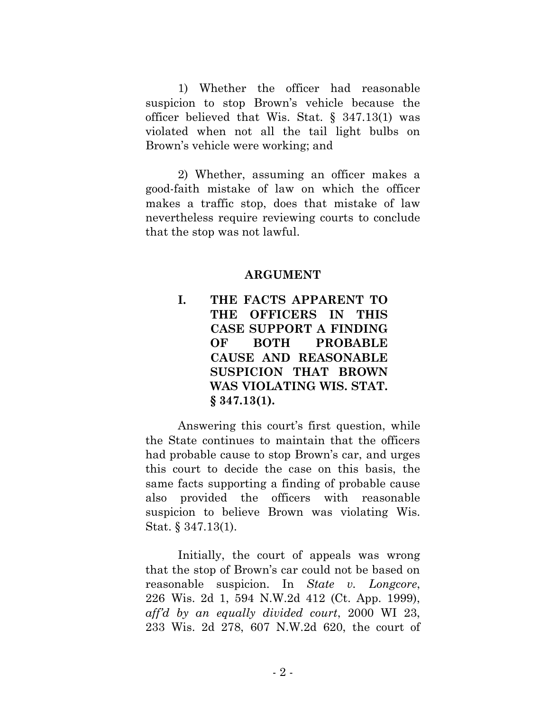1) Whether the officer had reasonable suspicion to stop Brown's vehicle because the officer believed that Wis. Stat. § 347.13(1) was violated when not all the tail light bulbs on Brown's vehicle were working; and

2) Whether, assuming an officer makes a good-faith mistake of law on which the officer makes a traffic stop, does that mistake of law nevertheless require reviewing courts to conclude that the stop was not lawful.

#### **ARGUMENT**

**I. THE FACTS APPARENT TO THE OFFICERS IN THIS CASE SUPPORT A FINDING OF BOTH PROBABLE CAUSE AND REASONABLE SUSPICION THAT BROWN WAS VIOLATING WIS. STAT. § 347.13(1).**

Answering this court's first question, while the State continues to maintain that the officers had probable cause to stop Brown's car, and urges this court to decide the case on this basis, the same facts supporting a finding of probable cause also provided the officers with reasonable suspicion to believe Brown was violating Wis. Stat. § 347.13(1).

Initially, the court of appeals was wrong that the stop of Brown's car could not be based on reasonable suspicion. In *State v. Longcore*, 226 Wis. 2d 1, 594 N.W.2d 412 (Ct. App. 1999), *aff'd by an equally divided court*, 2000 WI 23, 233 Wis. 2d 278, 607 N.W.2d 620, the court of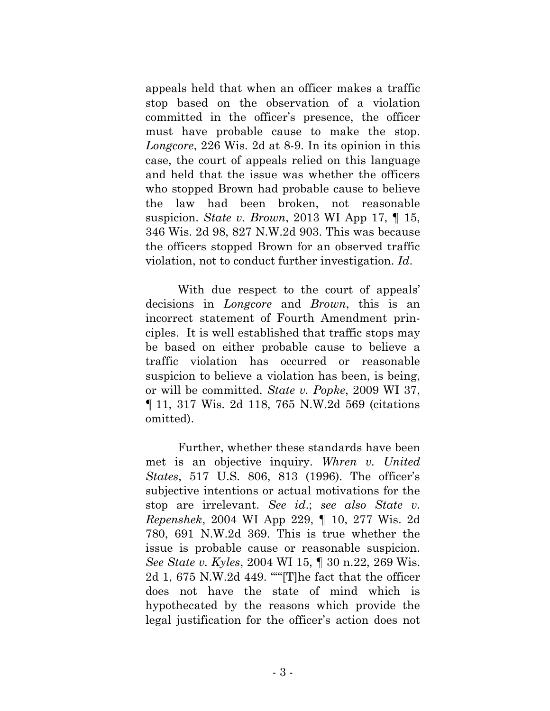appeals held that when an officer makes a traffic stop based on the observation of a violation committed in the officer's presence, the officer must have probable cause to make the stop. *Longcore*, 226 Wis. 2d at 8-9. In its opinion in this case, the court of appeals relied on this language and held that the issue was whether the officers who stopped Brown had probable cause to believe the law had been broken, not reasonable suspicion. *State v. Brown*, 2013 WI App 17, ¶ 15, 346 Wis. 2d 98, 827 N.W.2d 903. This was because the officers stopped Brown for an observed traffic violation, not to conduct further investigation. *Id*.

With due respect to the court of appeals' decisions in *Longcore* and *Brown*, this is an incorrect statement of Fourth Amendment principles. It is well established that traffic stops may be based on either probable cause to believe a traffic violation has occurred or reasonable suspicion to believe a violation has been, is being, or will be committed. *State v. Popke*, 2009 WI 37, ¶ 11, 317 Wis. 2d 118, 765 N.W.2d 569 (citations omitted).

Further, whether these standards have been met is an objective inquiry. *Whren v. United States*, 517 U.S. 806, 813 (1996). The officer's subjective intentions or actual motivations for the stop are irrelevant. *See id*.; *see also State v. Repenshek*, 2004 WI App 229, ¶ 10, 277 Wis. 2d 780, 691 N.W.2d 369. This is true whether the issue is probable cause or reasonable suspicion. *See State v. Kyles*, 2004 WI 15, ¶ 30 n.22, 269 Wis. 2d 1, 675 N.W.2d 449. "'"[T]he fact that the officer does not have the state of mind which is hypothecated by the reasons which provide the legal justification for the officer's action does not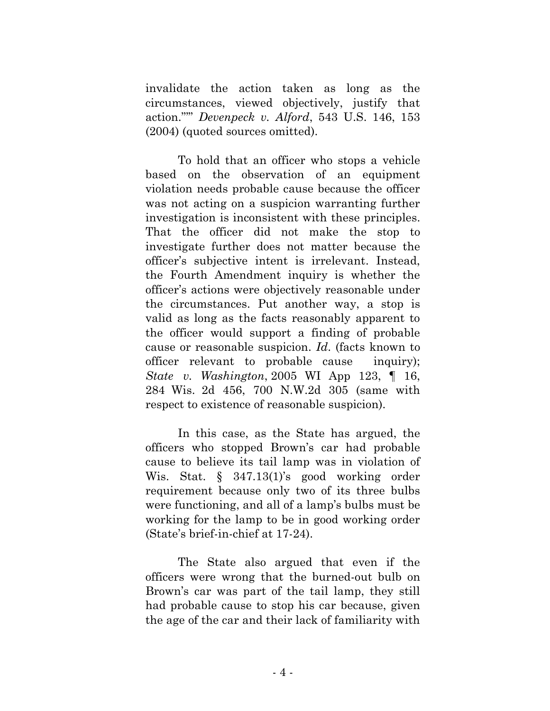invalidate the action taken as long as the circumstances, viewed objectively, justify that action."'" *Devenpeck v. Alford*, 543 U.S. 146, 153 (2004) (quoted sources omitted).

To hold that an officer who stops a vehicle based on the observation of an equipment violation needs probable cause because the officer was not acting on a suspicion warranting further investigation is inconsistent with these principles. That the officer did not make the stop to investigate further does not matter because the officer's subjective intent is irrelevant. Instead, the Fourth Amendment inquiry is whether the officer's actions were objectively reasonable under the circumstances. Put another way, a stop is valid as long as the facts reasonably apparent to the officer would support a finding of probable cause or reasonable suspicion. *Id*. (facts known to officer relevant to probable cause inquiry); *State v. Washington*, 2005 WI App 123, ¶ 16, 284 Wis. 2d 456, 700 N.W.2d 305 (same with respect to existence of reasonable suspicion).

In this case, as the State has argued, the officers who stopped Brown's car had probable cause to believe its tail lamp was in violation of Wis. Stat. § 347.13(1)'s good working order requirement because only two of its three bulbs were functioning, and all of a lamp's bulbs must be working for the lamp to be in good working order (State's brief-in-chief at 17-24).

The State also argued that even if the officers were wrong that the burned-out bulb on Brown's car was part of the tail lamp, they still had probable cause to stop his car because, given the age of the car and their lack of familiarity with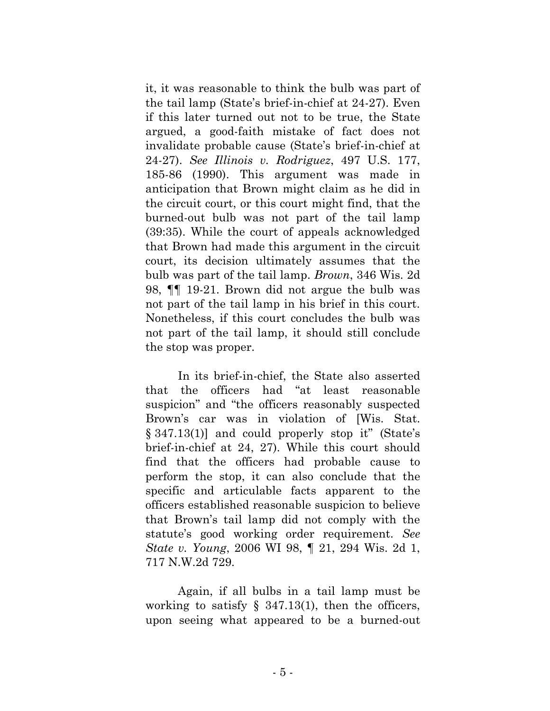it, it was reasonable to think the bulb was part of the tail lamp (State's brief-in-chief at 24-27). Even if this later turned out not to be true, the State argued, a good-faith mistake of fact does not invalidate probable cause (State's brief-in-chief at 24-27). *See Illinois v. Rodriguez*, 497 U.S. 177, 185-86 (1990). This argument was made in anticipation that Brown might claim as he did in the circuit court, or this court might find, that the burned-out bulb was not part of the tail lamp (39:35). While the court of appeals acknowledged that Brown had made this argument in the circuit court, its decision ultimately assumes that the bulb was part of the tail lamp. *Brown*, 346 Wis. 2d 98, ¶¶ 19-21. Brown did not argue the bulb was not part of the tail lamp in his brief in this court. Nonetheless, if this court concludes the bulb was not part of the tail lamp, it should still conclude the stop was proper.

In its brief-in-chief, the State also asserted that the officers had "at least reasonable suspicion" and "the officers reasonably suspected Brown's car was in violation of [Wis. Stat. § 347.13(1)] and could properly stop it" (State's brief-in-chief at 24, 27). While this court should find that the officers had probable cause to perform the stop, it can also conclude that the specific and articulable facts apparent to the officers established reasonable suspicion to believe that Brown's tail lamp did not comply with the statute's good working order requirement. *See State v. Young*, 2006 WI 98, ¶ 21, 294 Wis. 2d 1, 717 N.W.2d 729.

Again, if all bulbs in a tail lamp must be working to satisfy  $\S$  347.13(1), then the officers, upon seeing what appeared to be a burned-out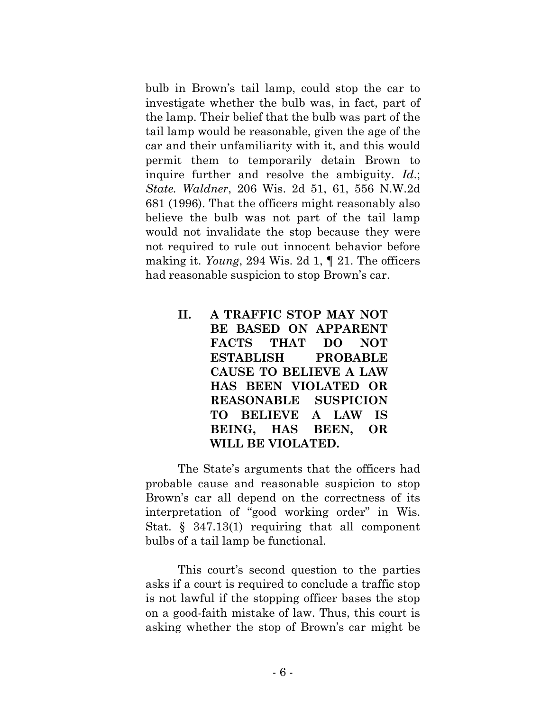bulb in Brown's tail lamp, could stop the car to investigate whether the bulb was, in fact, part of the lamp. Their belief that the bulb was part of the tail lamp would be reasonable, given the age of the car and their unfamiliarity with it, and this would permit them to temporarily detain Brown to inquire further and resolve the ambiguity. *Id*.; *State. Waldner*, 206 Wis. 2d 51, 61, 556 N.W.2d 681 (1996). That the officers might reasonably also believe the bulb was not part of the tail lamp would not invalidate the stop because they were not required to rule out innocent behavior before making it. *Young*, 294 Wis. 2d 1, ¶ 21. The officers had reasonable suspicion to stop Brown's car.

> <span id="page-9-0"></span>**II. A TRAFFIC STOP MAY NOT BE BASED ON APPARENT FACTS THAT DO NOT ESTABLISH PROBABLE CAUSE TO BELIEVE A LAW HAS BEEN VIOLATED OR REASONABLE SUSPICION TO BELIEVE A LAW IS BEING, HAS BEEN, OR WILL BE VIOLATED.**

The State's arguments that the officers had probable cause and reasonable suspicion to stop Brown's car all depend on the correctness of its interpretation of "good working order" in Wis. Stat. § 347.13(1) requiring that all component bulbs of a tail lamp be functional.

This court's second question to the parties asks if a court is required to conclude a traffic stop is not lawful if the stopping officer bases the stop on a good-faith mistake of law. Thus, this court is asking whether the stop of Brown's car might be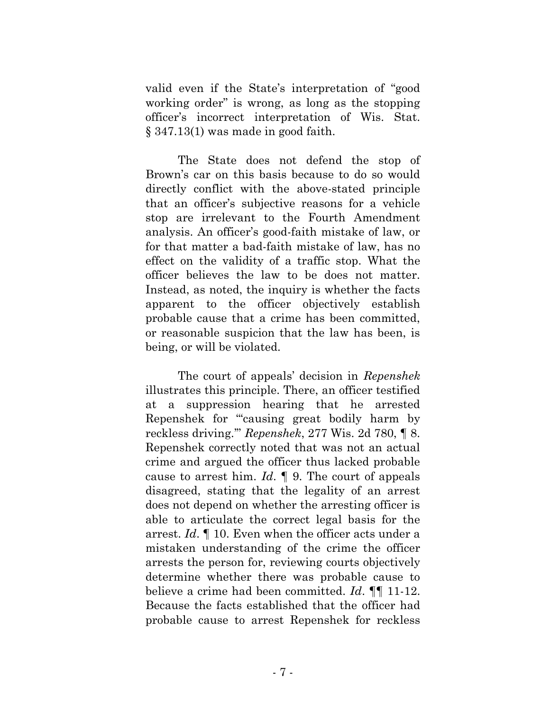valid even if the State's interpretation of "good working order" is wrong, as long as the stopping officer's incorrect interpretation of Wis. Stat. § 347.13(1) was made in good faith.

The State does not defend the stop of Brown's car on this basis because to do so would directly conflict with the above-stated principle that an officer's subjective reasons for a vehicle stop are irrelevant to the Fourth Amendment analysis. An officer's good-faith mistake of law, or for that matter a bad-faith mistake of law, has no effect on the validity of a traffic stop. What the officer believes the law to be does not matter. Instead, as noted, the inquiry is whether the facts apparent to the officer objectively establish probable cause that a crime has been committed, or reasonable suspicion that the law has been, is being, or will be violated.

The court of appeals' decision in *Repenshek* illustrates this principle. There, an officer testified at a suppression hearing that he arrested Repenshek for "'causing great bodily harm by reckless driving.'" *Repenshek*, 277 Wis. 2d 780, ¶ 8. Repenshek correctly noted that was not an actual crime and argued the officer thus lacked probable cause to arrest him. *Id*. ¶ 9. The court of appeals disagreed, stating that the legality of an arrest does not depend on whether the arresting officer is able to articulate the correct legal basis for the arrest. *Id*. ¶ 10. Even when the officer acts under a mistaken understanding of the crime the officer arrests the person for, reviewing courts objectively determine whether there was probable cause to believe a crime had been committed. *Id*. ¶¶ 11-12. Because the facts established that the officer had probable cause to arrest Repenshek for reckless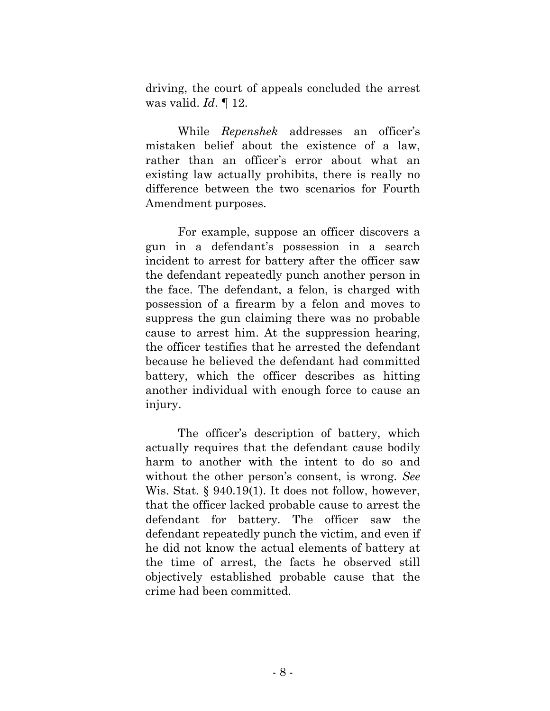driving, the court of appeals concluded the arrest was valid. *Id*. ¶ 12.

While *Repenshek* addresses an officer's mistaken belief about the existence of a law, rather than an officer's error about what an existing law actually prohibits, there is really no difference between the two scenarios for Fourth Amendment purposes.

For example, suppose an officer discovers a gun in a defendant's possession in a search incident to arrest for battery after the officer saw the defendant repeatedly punch another person in the face. The defendant, a felon, is charged with possession of a firearm by a felon and moves to suppress the gun claiming there was no probable cause to arrest him. At the suppression hearing, the officer testifies that he arrested the defendant because he believed the defendant had committed battery, which the officer describes as hitting another individual with enough force to cause an injury.

The officer's description of battery, which actually requires that the defendant cause bodily harm to another with the intent to do so and without the other person's consent, is wrong. *See*  Wis. Stat. § 940.19(1). It does not follow, however, that the officer lacked probable cause to arrest the defendant for battery. The officer saw the defendant repeatedly punch the victim, and even if he did not know the actual elements of battery at the time of arrest, the facts he observed still objectively established probable cause that the crime had been committed.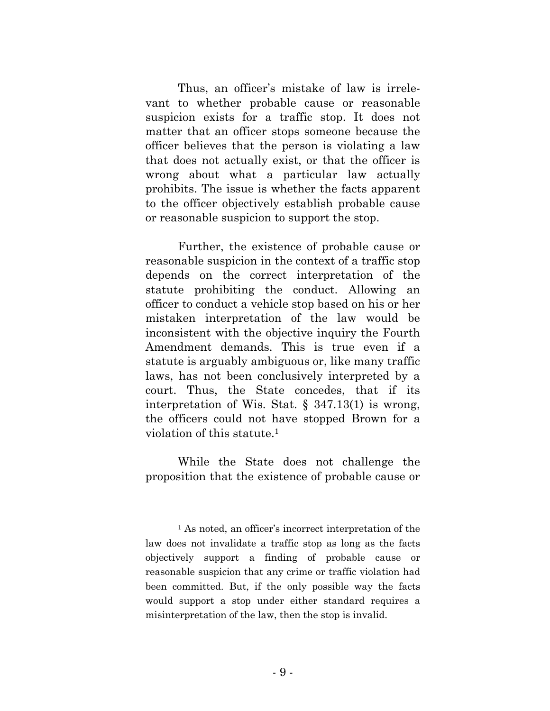Thus, an officer's mistake of law is irrelevant to whether probable cause or reasonable suspicion exists for a traffic stop. It does not matter that an officer stops someone because the officer believes that the person is violating a law that does not actually exist, or that the officer is wrong about what a particular law actually prohibits. The issue is whether the facts apparent to the officer objectively establish probable cause or reasonable suspicion to support the stop.

Further, the existence of probable cause or reasonable suspicion in the context of a traffic stop depends on the correct interpretation of the statute prohibiting the conduct. Allowing an officer to conduct a vehicle stop based on his or her mistaken interpretation of the law would be inconsistent with the objective inquiry the Fourth Amendment demands. This is true even if a statute is arguably ambiguous or, like many traffic laws, has not been conclusively interpreted by a court. Thus, the State concedes, that if its interpretation of Wis. Stat. § 347.13(1) is wrong, the officers could not have stopped Brown for a violation of this statute.<sup>1</sup>

While the State does not challenge the proposition that the existence of probable cause or

<sup>&</sup>lt;sup>1</sup> As noted, an officer's incorrect interpretation of the law does not invalidate a traffic stop as long as the facts objectively support a finding of probable cause or reasonable suspicion that any crime or traffic violation had been committed. But, if the only possible way the facts would support a stop under either standard requires a misinterpretation of the law, then the stop is invalid.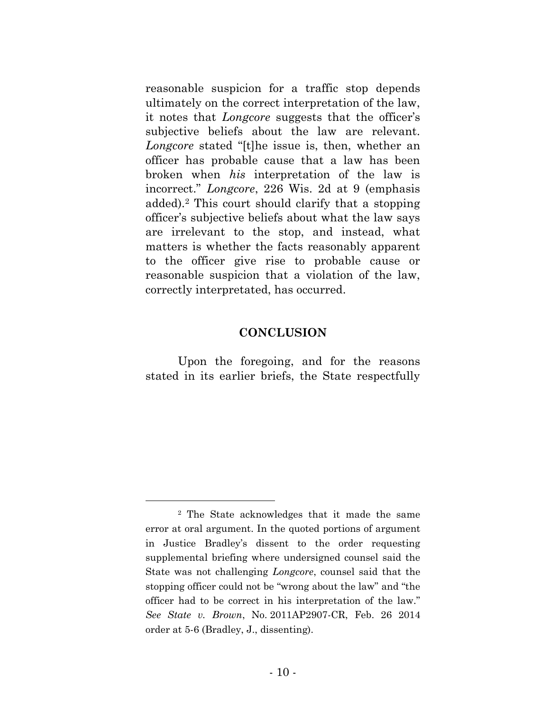reasonable suspicion for a traffic stop depends ultimately on the correct interpretation of the law, it notes that *Longcore* suggests that the officer's subjective beliefs about the law are relevant. *Longcore* stated "[t]he issue is, then, whether an officer has probable cause that a law has been broken when *his* interpretation of the law is incorrect." *Longcore*, 226 Wis. 2d at 9 (emphasis added).<sup>2</sup> This court should clarify that a stopping officer's subjective beliefs about what the law says are irrelevant to the stop, and instead, what matters is whether the facts reasonably apparent to the officer give rise to probable cause or reasonable suspicion that a violation of the law, correctly interpretated, has occurred.

#### **CONCLUSION**

Upon the foregoing, and for the reasons stated in its earlier briefs, the State respectfully

<sup>2</sup> The State acknowledges that it made the same error at oral argument. In the quoted portions of argument in Justice Bradley's dissent to the order requesting supplemental briefing where undersigned counsel said the State was not challenging *Longcore*, counsel said that the stopping officer could not be "wrong about the law" and "the officer had to be correct in his interpretation of the law." *See State v. Brown*, No. 2011AP2907-CR, Feb. 26 2014 order at 5-6 (Bradley, J., dissenting).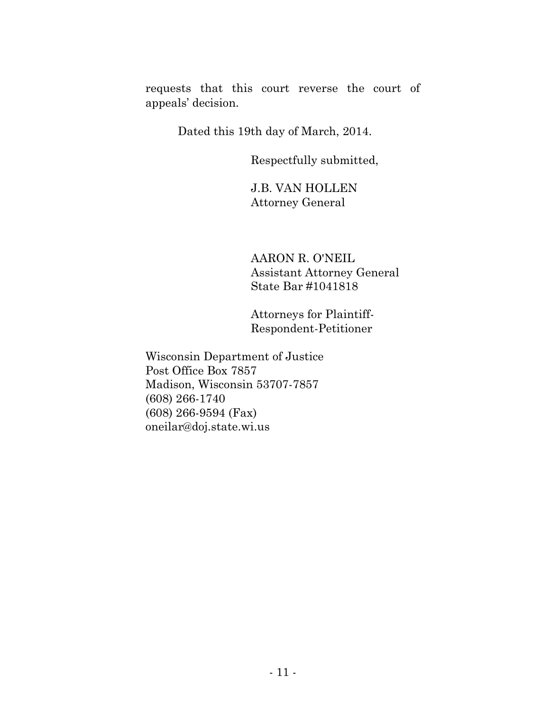requests that this court reverse the court of appeals' decision.

Dated this 19th day of March, 2014.

Respectfully submitted,

J.B. VAN HOLLEN Attorney General

AARON R. O'NEIL Assistant Attorney General State Bar #1041818

Attorneys for Plaintiff-Respondent-Petitioner

Wisconsin Department of Justice Post Office Box 7857 Madison, Wisconsin 53707-7857 (608) 266-1740 (608) 266-9594 (Fax) oneilar@doj.state.wi.us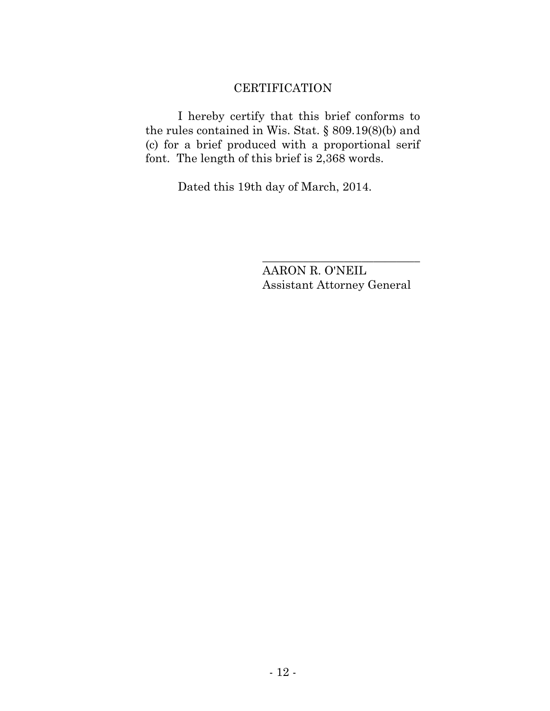# **CERTIFICATION**

I hereby certify that this brief conforms to the rules contained in Wis. Stat. § 809.19(8)(b) and (c) for a brief produced with a proportional serif font. The length of this brief is 2,368 words.

Dated this 19th day of March, 2014.

AARON R. O'NEIL Assistant Attorney General

\_\_\_\_\_\_\_\_\_\_\_\_\_\_\_\_\_\_\_\_\_\_\_\_\_\_\_